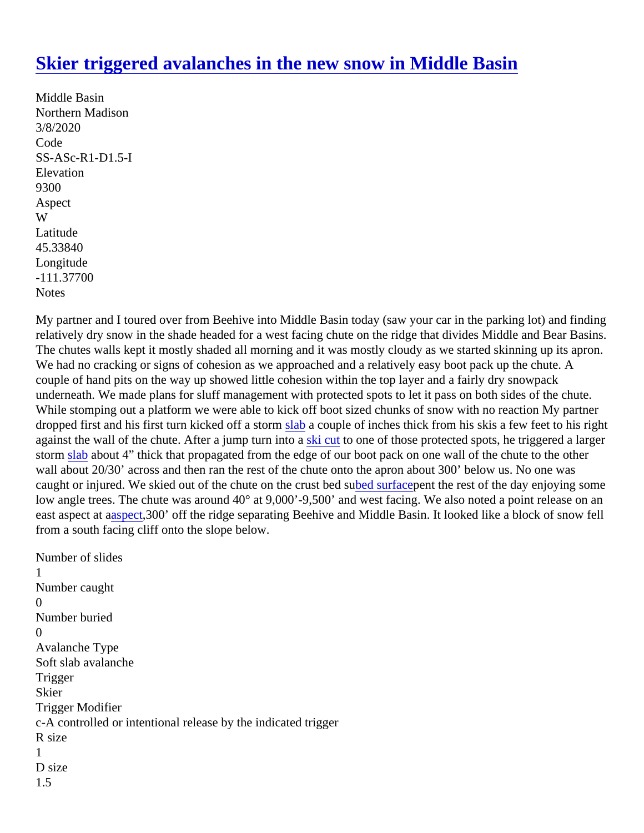## [Skier triggered avalanches in the new snow in Middle Bas](https://www.mtavalanche.com/node/22376)in

Middle Basin Northern Madison 3/8/2020 Code SS-ASc-R1-D1.5-I **Elevation** 9300 Aspect W Latitude 45.33840 Longitude -111.37700 **Notes** 

My partner and I toured over from Beehive into Middle Basin today (saw your car in the parking lot) and findin relatively dry snow in the shade headed for a west facing chute on the ridge that divides Middle and Bear Bas The chutes walls kept it mostly shaded all morning and it was mostly cloudy as we started skinning up its apro We had no cracking or signs of cohesion as we approached and a relatively easy boot pack up the chute. A couple of hand pits on the way up showed little cohesion within the top layer and a fairly dry snowpack underneath. We made plans for sluff management with protected spots to let it pass on both sides of the chut While stomping out a platform we were able to kick off boot sized chunks of snow with no reaction My partner dropped first and his first turn kicked off a stortaba couple of inches thick from his skis a few feet to his right against the wall of the chute. After a jump turn into kacut to one of those protected spots, he triggered a larger storm slababout 4" thick that propagated from the edge of our boot pack on one wall of the chute to the other wall about 20/30' across and then ran the rest of the chute onto the apron about 300' below us. No one was caught or injured. We skied out of the chute on the crust bend surfac[p](https://www.mtavalanche.com/taxonomy/term/261)ent the rest of the day enjoying some low angle trees. The chute was around 40° at 9,000'-9,500' and west facing. We also noted a point release on east aspect abapect 300' off the ridge separating Beehive and Middle Basin. It looked like a block of snow fell from a south facing cliff onto the slope below.

Number of slides 1 Number caught  $\Omega$ Number buried  $\Omega$ Avalanche Type Soft slab avalanche **Trigger Skier** Trigger Modifier c-A controlled or intentional release by the indicated trigger R size 1 D size 1.5